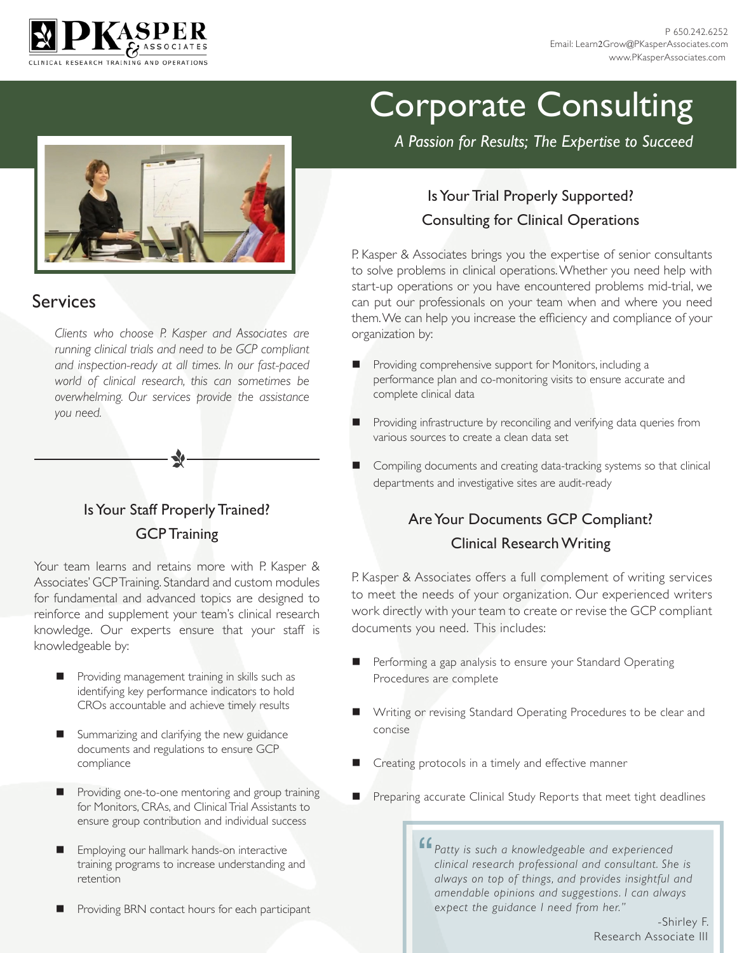



*A Passion for Results; The Expertise to Succeed*

#### Services

*Clients who choose P. Kasper and Associates are running clinical trials and need to be GCP compliant and inspection-ready at all times. In our fast-paced world of clinical research, this can sometimes be overwhelming. Our services provide the assistance you need.*

#### Is Your Staff Properly Trained? GCP Training

Your team learns and retains more with P. Kasper & Associates' GCP Training. Standard and custom modules for fundamental and advanced topics are designed to reinforce and supplement your team's clinical research knowledge. Our experts ensure that your staff is knowledgeable by:

- Providing management training in skills such as identifying key performance indicators to hold CROs accountable and achieve timely results
- Summarizing and clarifying the new guidance documents and regulations to ensure GCP compliance
- Providing one-to-one mentoring and group training for Monitors, CRAs, and Clinical Trial Assistants to ensure group contribution and individual success
- Employing our hallmark hands-on interactive training programs to increase understanding and retention
- Providing BRN contact hours for each participant

#### Is Your Trial Properly Supported? Consulting for Clinical Operations

P. Kasper & Associates brings you the expertise of senior consultants to solve problems in clinical operations. Whether you need help with start-up operations or you have encountered problems mid-trial, we can put our professionals on your team when and where you need them. We can help you increase the efficiency and compliance of your organization by:

- Providing comprehensive support for Monitors, including a performance plan and co-monitoring visits to ensure accurate and complete clinical data
- Providing infrastructure by reconciling and verifying data queries from various sources to create a clean data set
- Compiling documents and creating data-tracking systems so that clinical departments and investigative sites are audit-ready

#### Are Your Documents GCP Compliant? Clinical Research Writing

P. Kasper & Associates offers a full complement of writing services to meet the needs of your organization. Our experienced writers work directly with your team to create or revise the GCP compliant documents you need. This includes:

- Performing a gap analysis to ensure your Standard Operating Procedures are complete
- Writing or revising Standard Operating Procedures to be clear and concise
- Creating protocols in a timely and effective manner
	- Preparing accurate Clinical Study Reports that meet tight deadlines

*Patty is such a knowledgeable and experienced clinical research professional and consultant. She always on top of things and provides insightful clinical research professional and consultant. She is always on top of things, and provides insightful and amendable opinions and suggestions. I can always expect the guidance I need from her."* 

-Shirley F. Research Associate III